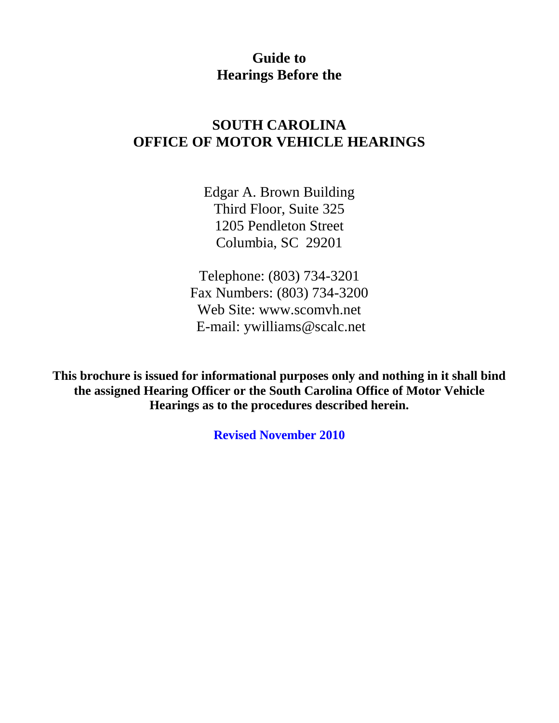#### **Guide to Hearings Before the**

#### **SOUTH CAROLINA OFFICE OF MOTOR VEHICLE HEARINGS**

Edgar A. Brown Building Third Floor, Suite 325 1205 Pendleton Street Columbia, SC 29201

Telephone: (803) 734-3201 Fax Numbers: (803) 734-3200 Web Site: www.scomvh.net E-mail: ywilliams@scalc.net

**This brochure is issued for informational purposes only and nothing in it shall bind the assigned Hearing Officer or the South Carolina Office of Motor Vehicle Hearings as to the procedures described herein.**

**Revised November 2010**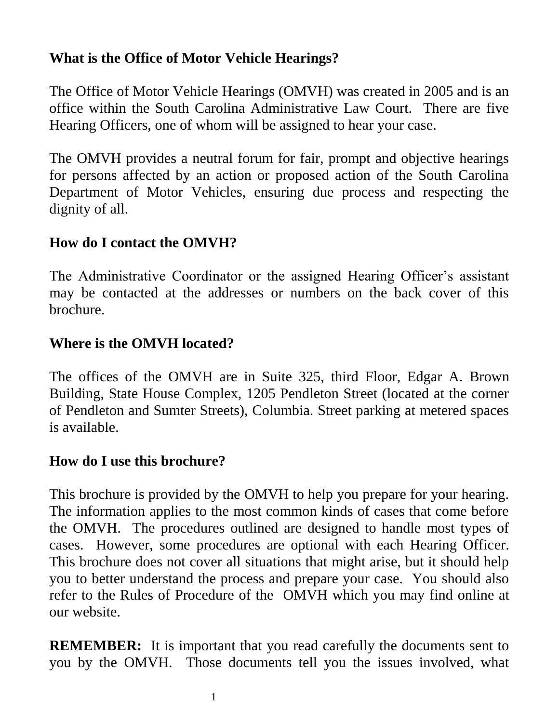# **What is the Office of Motor Vehicle Hearings?**

The Office of Motor Vehicle Hearings (OMVH) was created in 2005 and is an office within the South Carolina Administrative Law Court. There are five Hearing Officers, one of whom will be assigned to hear your case.

The OMVH provides a neutral forum for fair, prompt and objective hearings for persons affected by an action or proposed action of the South Carolina Department of Motor Vehicles, ensuring due process and respecting the dignity of all.

# **How do I contact the OMVH?**

The Administrative Coordinator or the assigned Hearing Officer's assistant may be contacted at the addresses or numbers on the back cover of this brochure.

# **Where is the OMVH located?**

The offices of the OMVH are in Suite 325, third Floor, Edgar A. Brown Building, State House Complex, 1205 Pendleton Street (located at the corner of Pendleton and Sumter Streets), Columbia. Street parking at metered spaces is available.

### **How do I use this brochure?**

This brochure is provided by the OMVH to help you prepare for your hearing. The information applies to the most common kinds of cases that come before the OMVH. The procedures outlined are designed to handle most types of cases. However, some procedures are optional with each Hearing Officer. This brochure does not cover all situations that might arise, but it should help you to better understand the process and prepare your case. You should also refer to the Rules of Procedure of the OMVH which you may find online at our website.

**REMEMBER:** It is important that you read carefully the documents sent to you by the OMVH. Those documents tell you the issues involved, what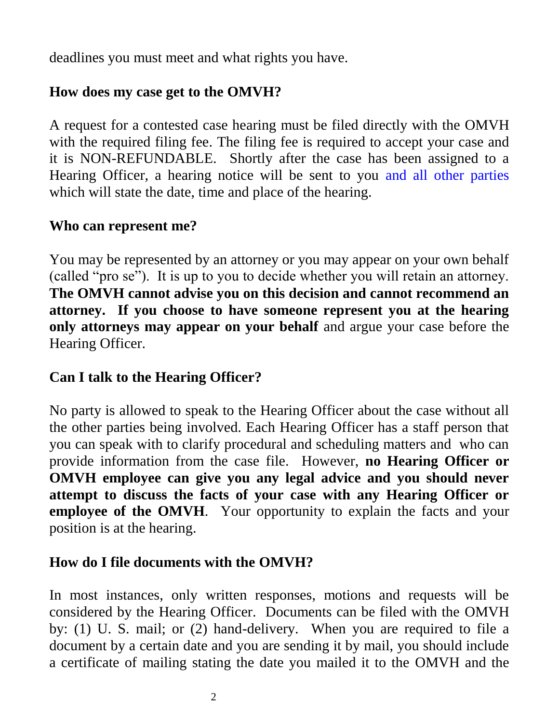deadlines you must meet and what rights you have.

# **How does my case get to the OMVH?**

A request for a contested case hearing must be filed directly with the OMVH with the required filing fee. The filing fee is required to accept your case and it is NON-REFUNDABLE. Shortly after the case has been assigned to a Hearing Officer, a hearing notice will be sent to you and all other parties which will state the date, time and place of the hearing.

#### **Who can represent me?**

You may be represented by an attorney or you may appear on your own behalf (called "pro se"). It is up to you to decide whether you will retain an attorney. **The OMVH cannot advise you on this decision and cannot recommend an attorney. If you choose to have someone represent you at the hearing only attorneys may appear on your behalf** and argue your case before the Hearing Officer.

### **Can I talk to the Hearing Officer?**

No party is allowed to speak to the Hearing Officer about the case without all the other parties being involved. Each Hearing Officer has a staff person that you can speak with to clarify procedural and scheduling matters and who can provide information from the case file. However, **no Hearing Officer or OMVH employee can give you any legal advice and you should never attempt to discuss the facts of your case with any Hearing Officer or employee of the OMVH**. Your opportunity to explain the facts and your position is at the hearing.

### **How do I file documents with the OMVH?**

In most instances, only written responses, motions and requests will be considered by the Hearing Officer. Documents can be filed with the OMVH by: (1) U. S. mail; or (2) hand-delivery. When you are required to file a document by a certain date and you are sending it by mail, you should include a certificate of mailing stating the date you mailed it to the OMVH and the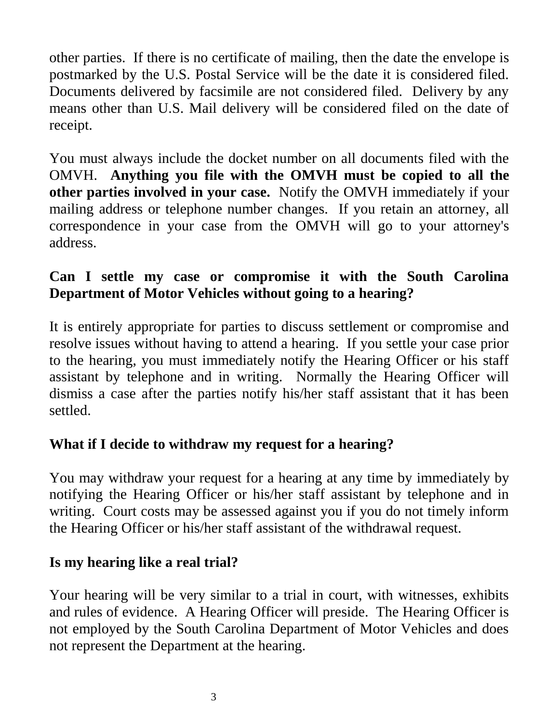other parties. If there is no certificate of mailing, then the date the envelope is postmarked by the U.S. Postal Service will be the date it is considered filed. Documents delivered by facsimile are not considered filed. Delivery by any means other than U.S. Mail delivery will be considered filed on the date of receipt.

You must always include the docket number on all documents filed with the OMVH. **Anything you file with the OMVH must be copied to all the other parties involved in your case.** Notify the OMVH immediately if your mailing address or telephone number changes. If you retain an attorney, all correspondence in your case from the OMVH will go to your attorney's address.

# **Can I settle my case or compromise it with the South Carolina Department of Motor Vehicles without going to a hearing?**

It is entirely appropriate for parties to discuss settlement or compromise and resolve issues without having to attend a hearing. If you settle your case prior to the hearing, you must immediately notify the Hearing Officer or his staff assistant by telephone and in writing. Normally the Hearing Officer will dismiss a case after the parties notify his/her staff assistant that it has been settled.

### **What if I decide to withdraw my request for a hearing?**

You may withdraw your request for a hearing at any time by immediately by notifying the Hearing Officer or his/her staff assistant by telephone and in writing. Court costs may be assessed against you if you do not timely inform the Hearing Officer or his/her staff assistant of the withdrawal request.

### **Is my hearing like a real trial?**

Your hearing will be very similar to a trial in court, with witnesses, exhibits and rules of evidence. A Hearing Officer will preside. The Hearing Officer is not employed by the South Carolina Department of Motor Vehicles and does not represent the Department at the hearing.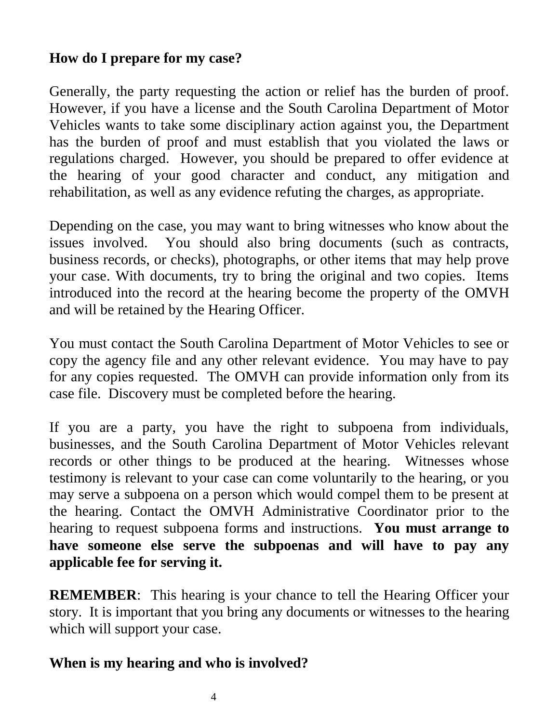# **How do I prepare for my case?**

Generally, the party requesting the action or relief has the burden of proof. However, if you have a license and the South Carolina Department of Motor Vehicles wants to take some disciplinary action against you, the Department has the burden of proof and must establish that you violated the laws or regulations charged. However, you should be prepared to offer evidence at the hearing of your good character and conduct, any mitigation and rehabilitation, as well as any evidence refuting the charges, as appropriate.

Depending on the case, you may want to bring witnesses who know about the issues involved. You should also bring documents (such as contracts, business records, or checks), photographs, or other items that may help prove your case. With documents, try to bring the original and two copies. Items introduced into the record at the hearing become the property of the OMVH and will be retained by the Hearing Officer.

You must contact the South Carolina Department of Motor Vehicles to see or copy the agency file and any other relevant evidence. You may have to pay for any copies requested. The OMVH can provide information only from its case file. Discovery must be completed before the hearing.

If you are a party, you have the right to subpoena from individuals, businesses, and the South Carolina Department of Motor Vehicles relevant records or other things to be produced at the hearing. Witnesses whose testimony is relevant to your case can come voluntarily to the hearing, or you may serve a subpoena on a person which would compel them to be present at the hearing. Contact the OMVH Administrative Coordinator prior to the hearing to request subpoena forms and instructions. **You must arrange to have someone else serve the subpoenas and will have to pay any applicable fee for serving it.** 

**REMEMBER:** This hearing is your chance to tell the Hearing Officer your story. It is important that you bring any documents or witnesses to the hearing which will support your case.

#### **When is my hearing and who is involved?**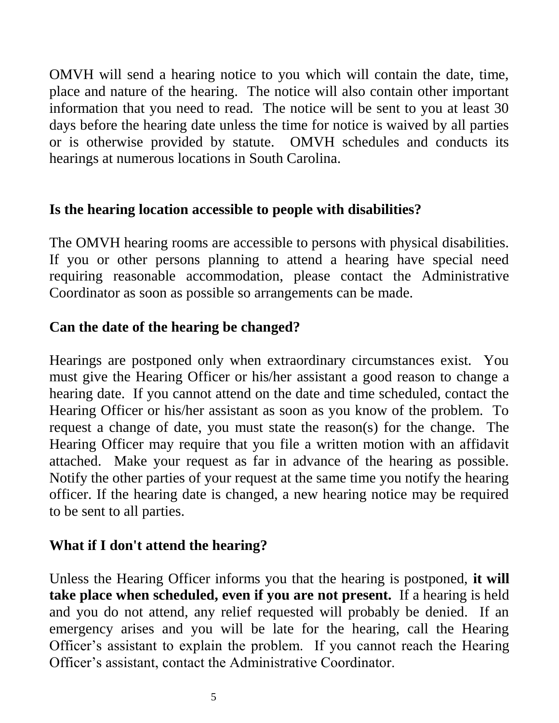OMVH will send a hearing notice to you which will contain the date, time, place and nature of the hearing. The notice will also contain other important information that you need to read. The notice will be sent to you at least 30 days before the hearing date unless the time for notice is waived by all parties or is otherwise provided by statute. OMVH schedules and conducts its hearings at numerous locations in South Carolina.

### **Is the hearing location accessible to people with disabilities?**

The OMVH hearing rooms are accessible to persons with physical disabilities. If you or other persons planning to attend a hearing have special need requiring reasonable accommodation, please contact the Administrative Coordinator as soon as possible so arrangements can be made.

# **Can the date of the hearing be changed?**

Hearings are postponed only when extraordinary circumstances exist. You must give the Hearing Officer or his/her assistant a good reason to change a hearing date. If you cannot attend on the date and time scheduled, contact the Hearing Officer or his/her assistant as soon as you know of the problem. To request a change of date, you must state the reason(s) for the change. The Hearing Officer may require that you file a written motion with an affidavit attached. Make your request as far in advance of the hearing as possible. Notify the other parties of your request at the same time you notify the hearing officer. If the hearing date is changed, a new hearing notice may be required to be sent to all parties.

# **What if I don't attend the hearing?**

Unless the Hearing Officer informs you that the hearing is postponed, **it will take place when scheduled, even if you are not present.** If a hearing is held and you do not attend, any relief requested will probably be denied. If an emergency arises and you will be late for the hearing, call the Hearing Officer's assistant to explain the problem. If you cannot reach the Hearing Officer's assistant, contact the Administrative Coordinator.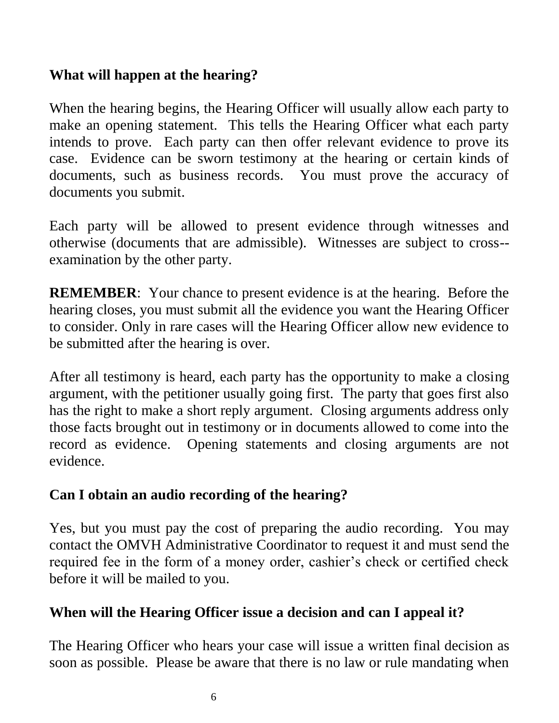# **What will happen at the hearing?**

When the hearing begins, the Hearing Officer will usually allow each party to make an opening statement. This tells the Hearing Officer what each party intends to prove. Each party can then offer relevant evidence to prove its case. Evidence can be sworn testimony at the hearing or certain kinds of documents, such as business records. You must prove the accuracy of documents you submit.

Each party will be allowed to present evidence through witnesses and otherwise (documents that are admissible). Witnesses are subject to cross- examination by the other party.

**REMEMBER**: Your chance to present evidence is at the hearing. Before the hearing closes, you must submit all the evidence you want the Hearing Officer to consider. Only in rare cases will the Hearing Officer allow new evidence to be submitted after the hearing is over.

After all testimony is heard, each party has the opportunity to make a closing argument, with the petitioner usually going first. The party that goes first also has the right to make a short reply argument. Closing arguments address only those facts brought out in testimony or in documents allowed to come into the record as evidence. Opening statements and closing arguments are not evidence.

# **Can I obtain an audio recording of the hearing?**

Yes, but you must pay the cost of preparing the audio recording. You may contact the OMVH Administrative Coordinator to request it and must send the required fee in the form of a money order, cashier's check or certified check before it will be mailed to you.

### **When will the Hearing Officer issue a decision and can I appeal it?**

The Hearing Officer who hears your case will issue a written final decision as soon as possible. Please be aware that there is no law or rule mandating when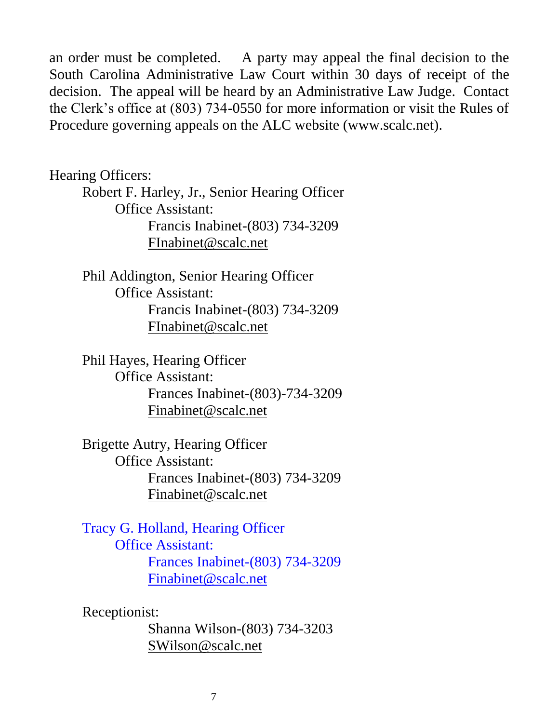an order must be completed. A party may appeal the final decision to the South Carolina Administrative Law Court within 30 days of receipt of the decision. The appeal will be heard by an Administrative Law Judge. Contact the Clerk's office at (803) 734-0550 for more information or visit the Rules of Procedure governing appeals on the ALC website (www.scalc.net).

Hearing Officers:

Robert F. Harley, Jr., Senior Hearing Officer Office Assistant: Francis Inabinet-(803) 734-3209 [FInabinet@scalc.net](mailto:FInabinet@scalc.net)

Phil Addington, Senior Hearing Officer Office Assistant: Francis Inabinet-(803) 734-3209 [FInabinet@scalc.net](mailto:FInabinet@scalc.net)

Phil Hayes, Hearing Officer Office Assistant: Frances Inabinet-(803)-734-3209 [Finabinet@scalc.net](mailto:Finabinet@scalc.net)

Brigette Autry, Hearing Officer Office Assistant: Frances Inabinet-(803) 734-3209 [Finabinet@scalc.net](mailto:Finabinet@scalc.net)

Tracy G. Holland, Hearing Officer Office Assistant: Frances Inabinet-(803) 734-3209 [Finabinet@scalc.net](mailto:Finabinet@scalc.net)

Receptionist:

Shanna Wilson-(803) 734-3203 [SWilson@scalc.net](mailto:SWilson@scalc.net)